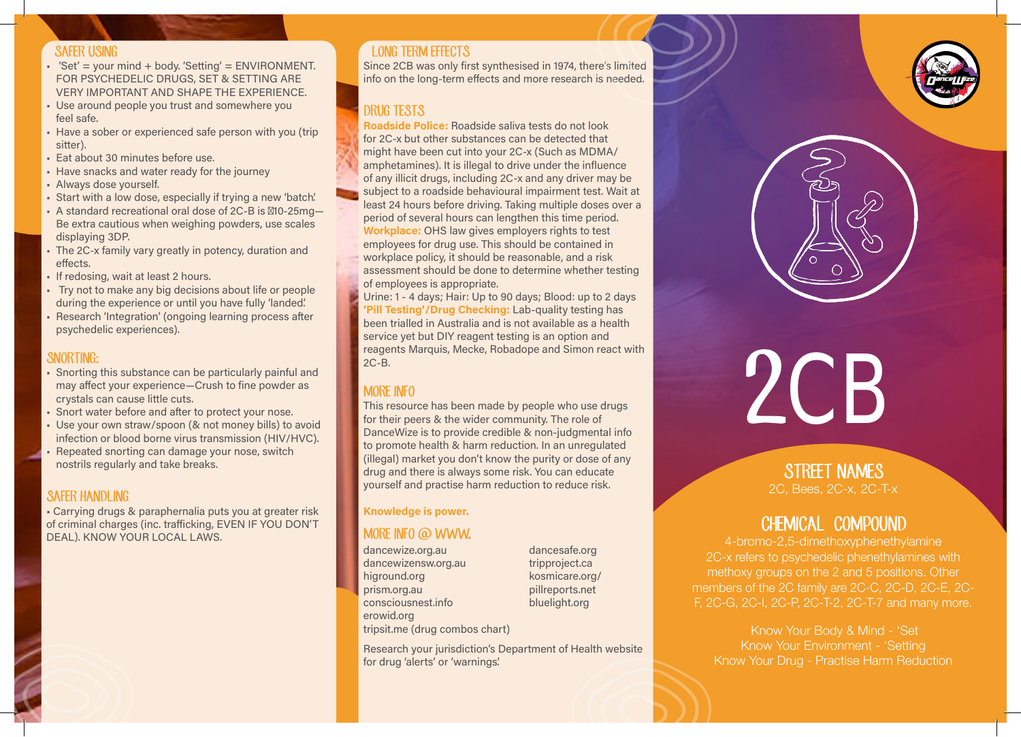#### SAFER USING

- $\div$  'Set' = your mind + body. 'Setting' = ENVIRONMENT. FOR PSYCHEDELIC DRUGS, SET & SETTING ARE VERY IMPORTANT AND SHAPE THE EXPERIENCE.
- Use around people you trust and somewhere you feel safe.
- Have a sober or experienced safe person with you (trip sitter).
- **Eat about 30 minutes before use.**
- Have snacks and water ready for the journey
- Always dose yourself.
- Start with a low dose, especially if trying a new 'batch'.
- A standard recreational oral dose of 2C-B is ~10-25mg-Be extra cautious when weighing powders, use scales displaying 3DP.
- The 2C-x family vary greatly in potency, duration and effects.
- If redosing, wait at least 2 hours.
- • Try not to make any big decisions about life or people during the experience or until you have fully 'landed'.
- Research 'Integration' (ongoing learning process after psychedelic experiences).

### SNORTING:

- Snorting this substance can be particularly painful and may affect your experience—Crush to fine powder as crystals can cause little cuts.
- Snort water before and after to protect your nose.
- Use your own straw/spoon (& not money bills) to avoid infection or blood borne virus transmission (HIV/HVC).
- Repeated snorting can damage your nose, switch nostrils regularly and take breaks.

# **SAFER HANDLING**

• Carrying drugs & paraphernalia puts you at greater risk of criminal charges (inc. trafficking, EVEN IF YOU DON'T DEAL). KNOW YOUR LOCAL LAWS.

# LONG TERM FEFECTS

Since 2CB was only first synthesised in 1974, there's limited info on the long-term effects and more research is needed.

# DRUG TESTS

Roadside Police: Roadside saliva tests do not look for 2C-x but other substances can be detected that might have been cut into your 2C-x (Such as MDMA/ amphetamines). It is illegal to drive under the influence of any illicit drugs, including 2C-x and any driver may be subject to a roadside behavioural impairment test. Wait at least 24 hours before driving. Taking multiple doses over a period of several hours can lengthen this time period. Workplace: OHS law gives employers rights to test employees for drug use. This should be contained in workplace policy, it should be reasonable, and a risk assessment should be done to determine whether testing of employees is appropriate.

Urine: 1 - 4 days; Hair: Up to 90 days; Blood: up to 2 days 'Pill Testing'/Drug Checking: Lab-quality testing has been trialled in Australia and is not available as a health service yet but DIY reagent testing is an option and reagents Marquis, Mecke, Robadope and Simon react with

# MORE INFO

This resource has been made by people who use drugs for their peers & the wider community. The role of DanceWize is to provide credible & non-judgmental info to promote health & harm reduction. In an unregulated (illegal) market you don't know the purity or dose of any drug and there is always some risk. You can educate yourself and practise harm reduction to reduce risk.

#### Knowledge is power.

#### MORE INFO @ WWW.

dancewize.org.au dancewizensw.org.au higround.org prism.org.au consciousnest.info erowid.org tripsit.me (drug combos chart) dancesafe.org tripproject.ca kosmicare.org/ pillreports.net bluelight.org

Research your jurisdiction's Department of Health website for drug 'alerts' or 'warnings'.





# MORE INFO<br>This resource has been made by people who use drugs<br>for their neers & the wider community. The role of

# STREET NAMES 2C, Bees, 2C-x, 2C-T-x

# CHEMICAL COMPOUND

4-bromo-2,5-dimethoxyphenethylamine 2C-x refers to psychedelic phenethylamines with methoxy groups on the 2 and 5 positions. Other members of the 2C family are 2C-C, 2C-D, 2C-E, 2C-F, 2C-G, 2C-I, 2C-P, 2C-T-2, 2C-T-7 and many more.

Know Your Body & Mind - 'Set Know Your Environment - 'Setting Know Your Drug - Practise Harm Reduction